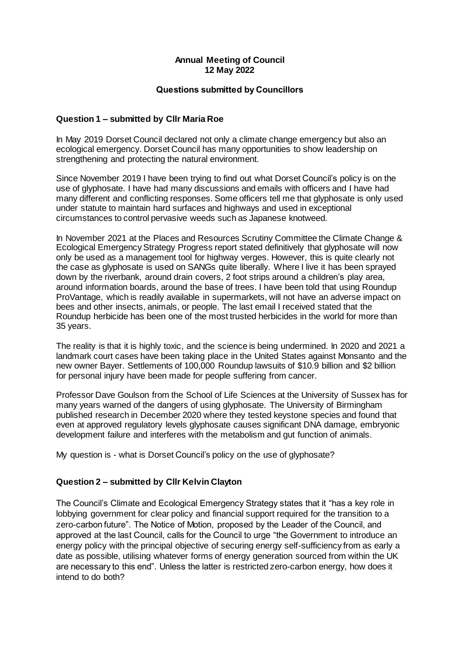## **Annual Meeting of Council 12 May 2022**

## **Questions submitted by Councillors**

## **Question 1 – submitted by Cllr Maria Roe**

In May 2019 Dorset Council declared not only a climate change emergency but also an ecological emergency. Dorset Council has many opportunities to show leadership on strengthening and protecting the natural environment.

Since November 2019 I have been trying to find out what Dorset Council's policy is on the use of glyphosate. I have had many discussions and emails with officers and I have had many different and conflicting responses. Some officers tell me that glyphosate is only used under statute to maintain hard surfaces and highways and used in exceptional circumstances to control pervasive weeds such as Japanese knotweed.

In November 2021 at the Places and Resources Scrutiny Committee the Climate Change & Ecological EmergencyStrategy Progress report stated definitively that glyphosate will now only be used as a management tool for highway verges. However, this is quite clearly not the case as glyphosate is used on SANGs quite liberally. Where I live it has been sprayed down by the riverbank, around drain covers, 2 foot strips around a children's play area, around information boards, around the base of trees. I have been told that using Roundup ProVantage, which is readily available in supermarkets, will not have an adverse impact on bees and other insects, animals, or people. The last email I received stated that the Roundup herbicide has been one of the most trusted herbicides in the world for more than 35 years.

The reality is that it is highly toxic, and the science is being undermined. In 2020 and 2021 a landmark court cases have been taking place in the United States against Monsanto and the new owner Bayer. Settlements of 100,000 Roundup lawsuits of \$10.9 billion and \$2 billion for personal injury have been made for people suffering from cancer.

Professor Dave Goulson from the School of Life Sciences at the University of Sussex has for many years warned of the dangers of using glyphosate. The University of Birmingham published research in December 2020 where they tested keystone species and found that even at approved regulatory levels glyphosate causes significant DNA damage, embryonic development failure and interferes with the metabolism and gut function of animals.

My question is - what is Dorset Council's policy on the use of glyphosate?

## **Question 2 – submitted by Cllr Kelvin Clayton**

The Council's Climate and Ecological Emergency Strategy states that it "has a key role in lobbying government for clear policy and financial support required for the transition to a zero-carbon future". The Notice of Motion, proposed by the Leader of the Council, and approved at the last Council, calls for the Council to urge "the Government to introduce an energy policy with the principal objective of securing energy self-sufficiency from as early a date as possible, utilising whatever forms of energy generation sourced from within the UK are necessary to this end". Unless the latter is restricted zero-carbon energy, how does it intend to do both?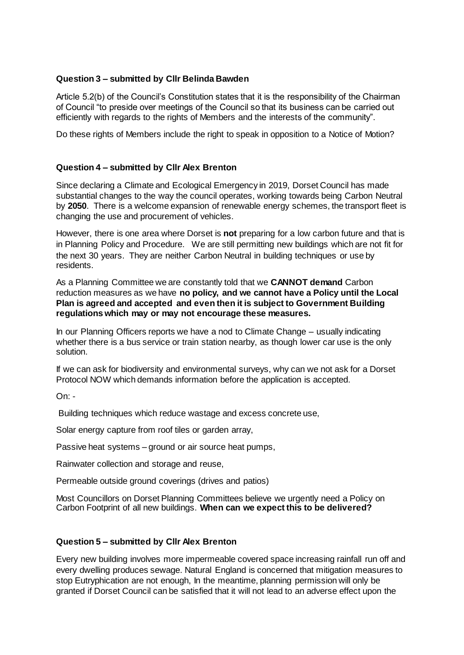# **Question 3 – submitted by Cllr Belinda Bawden**

Article 5.2(b) of the Council's Constitution states that it is the responsibility of the Chairman of Council "to preside over meetings of the Council so that its business can be carried out efficiently with regards to the rights of Members and the interests of the community".

Do these rights of Members include the right to speak in opposition to a Notice of Motion?

# **Question 4 – submitted by Cllr Alex Brenton**

Since declaring a Climate and Ecological Emergency in 2019, Dorset Council has made substantial changes to the way the council operates, working towards being Carbon Neutral by **2050**. There is a welcome expansion of renewable energy schemes, the transport fleet is changing the use and procurement of vehicles.

However, there is one area where Dorset is **not** preparing for a low carbon future and that is in Planning Policy and Procedure. We are still permitting new buildings which are not fit for the next 30 years. They are neither Carbon Neutral in building techniques or use by residents.

As a Planning Committee we are constantly told that we **CANNOT demand** Carbon reduction measures as we have **no policy, and we cannot have a Policy until the Local Plan is agreed and accepted and even then it is subject to Government Building regulations which may or may not encourage these measures.** 

In our Planning Officers reports we have a nod to Climate Change – usually indicating whether there is a bus service or train station nearby, as though lower car use is the only solution.

If we can ask for biodiversity and environmental surveys, why can we not ask for a Dorset Protocol NOW which demands information before the application is accepted.

On: -

Building techniques which reduce wastage and excess concrete use,

Solar energy capture from roof tiles or garden array,

Passive heat systems – ground or air source heat pumps,

Rainwater collection and storage and reuse,

Permeable outside ground coverings (drives and patios)

Most Councillors on Dorset Planning Committees believe we urgently need a Policy on Carbon Footprint of all new buildings. **When can we expect this to be delivered?**

## **Question 5 – submitted by Cllr Alex Brenton**

Every new building involves more impermeable covered space increasing rainfall run off and every dwelling produces sewage. Natural England is concerned that mitigation measures to stop Eutryphication are not enough, In the meantime, planning permission will only be granted if Dorset Council can be satisfied that it will not lead to an adverse effect upon the